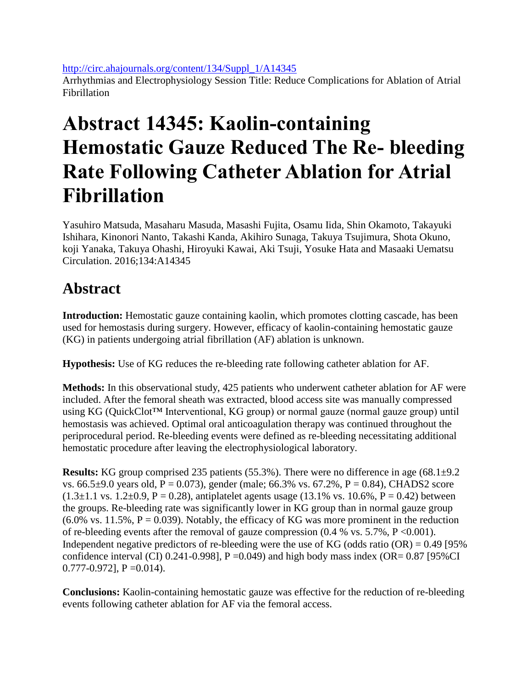[http://circ.ahajournals.org/content/134/Suppl\\_1/A14345](http://circ.ahajournals.org/content/134/Suppl_1/A14345)

Arrhythmias and Electrophysiology Session Title: Reduce Complications for Ablation of Atrial Fibrillation

## **Abstract 14345: Kaolin-containing Hemostatic Gauze Reduced The Re- bleeding Rate Following Catheter Ablation for Atrial Fibrillation**

Yasuhiro Matsuda, Masaharu Masuda, Masashi Fujita, Osamu Iida, Shin Okamoto, Takayuki Ishihara, Kinonori Nanto, Takashi Kanda, Akihiro Sunaga, Takuya Tsujimura, Shota Okuno, koji Yanaka, Takuya Ohashi, Hiroyuki Kawai, Aki Tsuji, Yosuke Hata and Masaaki Uematsu Circulation. 2016;134:A14345

## **Abstract**

**Introduction:** Hemostatic gauze containing kaolin, which promotes clotting cascade, has been used for hemostasis during surgery. However, efficacy of kaolin-containing hemostatic gauze (KG) in patients undergoing atrial fibrillation (AF) ablation is unknown.

**Hypothesis:** Use of KG reduces the re-bleeding rate following catheter ablation for AF.

**Methods:** In this observational study, 425 patients who underwent catheter ablation for AF were included. After the femoral sheath was extracted, blood access site was manually compressed using KG (QuickClot™ Interventional, KG group) or normal gauze (normal gauze group) until hemostasis was achieved. Optimal oral anticoagulation therapy was continued throughout the periprocedural period. Re-bleeding events were defined as re-bleeding necessitating additional hemostatic procedure after leaving the electrophysiological laboratory.

**Results:** KG group comprised 235 patients (55.3%). There were no difference in age (68.1 $\pm$ 9.2 vs. 66.5 $\pm$ 9.0 years old, P = 0.073), gender (male; 66.3% vs. 67.2%, P = 0.84), CHADS2 score  $(1.3\pm1.1 \text{ vs. } 1.2\pm0.9, P = 0.28)$ , antiplatelet agents usage  $(13.1\% \text{ vs. } 10.6\%, P = 0.42)$  between the groups. Re-bleeding rate was significantly lower in KG group than in normal gauze group  $(6.0\%$  vs. 11.5%, P = 0.039). Notably, the efficacy of KG was more prominent in the reduction of re-bleeding events after the removal of gauze compression  $(0.4 %$  vs.  $5.7%$ ,  $P < 0.001$ ). Independent negative predictors of re-bleeding were the use of KG (odds ratio  $(OR) = 0.49$  [95% confidence interval (CI) 0.241-0.998],  $P = 0.049$ ) and high body mass index (OR= 0.87 [95%CI]  $0.777 - 0.972$ ], P = 0.014).

**Conclusions:** Kaolin-containing hemostatic gauze was effective for the reduction of re-bleeding events following catheter ablation for AF via the femoral access.